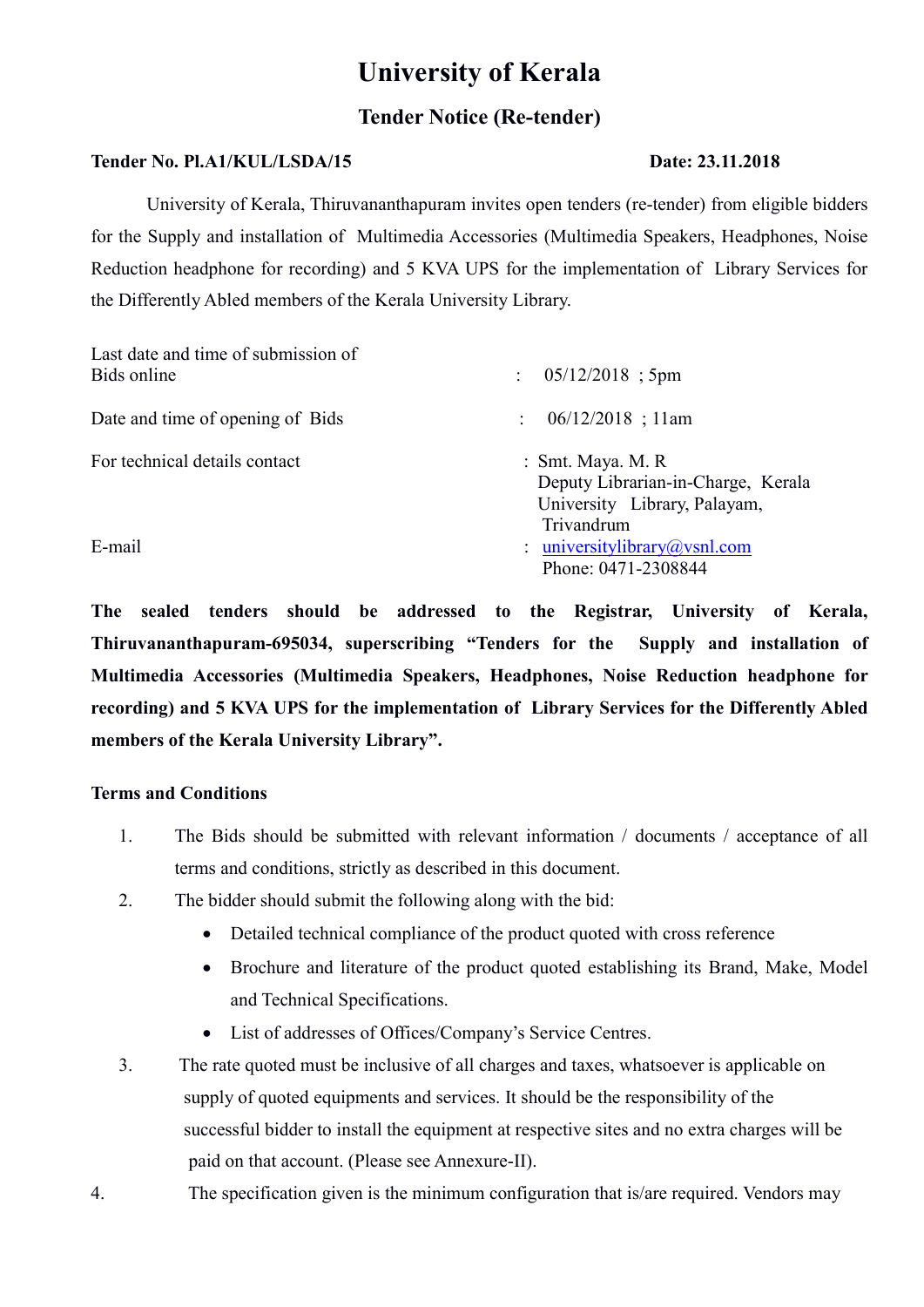# University of Kerala

# Tender Notice (Re-tender)

## Tender No. Pl.A1/KUL/LSDA/15 Date: 23.11.2018

University of Kerala, Thiruvananthapuram invites open tenders (re-tender) from eligible bidders for the Supply and installation of Multimedia Accessories (Multimedia Speakers, Headphones, Noise Reduction headphone for recording) and 5 KVA UPS for the implementation of Library Services for the Differently Abled members of the Kerala University Library.

| Last date and time of submission of<br>Bids online | $05/12/2018$ ; 5pm<br>$\ddot{\phantom{a}}$                                                            |
|----------------------------------------------------|-------------------------------------------------------------------------------------------------------|
| Date and time of opening of Bids                   | $06/12/2018$ ; 11am<br>$\mathcal{L}$                                                                  |
| For technical details contact                      | : Smt. Maya. M. R<br>Deputy Librarian-in-Charge, Kerala<br>University Library, Palayam,<br>Trivandrum |
| E-mail                                             | : universitylibrary@vsnl.com<br>Phone: 0471-2308844                                                   |

The sealed tenders should be addressed to the Registrar, University of Kerala, Thiruvananthapuram-695034, superscribing "Tenders for the Supply and installation of Multimedia Accessories (Multimedia Speakers, Headphones, Noise Reduction headphone for recording) and 5 KVA UPS for the implementation of Library Services for the Differently Abled members of the Kerala University Library".

## Terms and Conditions

- 1. The Bids should be submitted with relevant information / documents / acceptance of all terms and conditions, strictly as described in this document.
- 2. The bidder should submit the following along with the bid:
	- Detailed technical compliance of the product quoted with cross reference
	- Brochure and literature of the product quoted establishing its Brand, Make, Model and Technical Specifications.
	- List of addresses of Offices/Company's Service Centres.
- 3. The rate quoted must be inclusive of all charges and taxes, whatsoever is applicable on supply of quoted equipments and services. It should be the responsibility of the successful bidder to install the equipment at respective sites and no extra charges will be paid on that account. (Please see Annexure-II).
- 4. The specification given is the minimum configuration that is/are required. Vendors may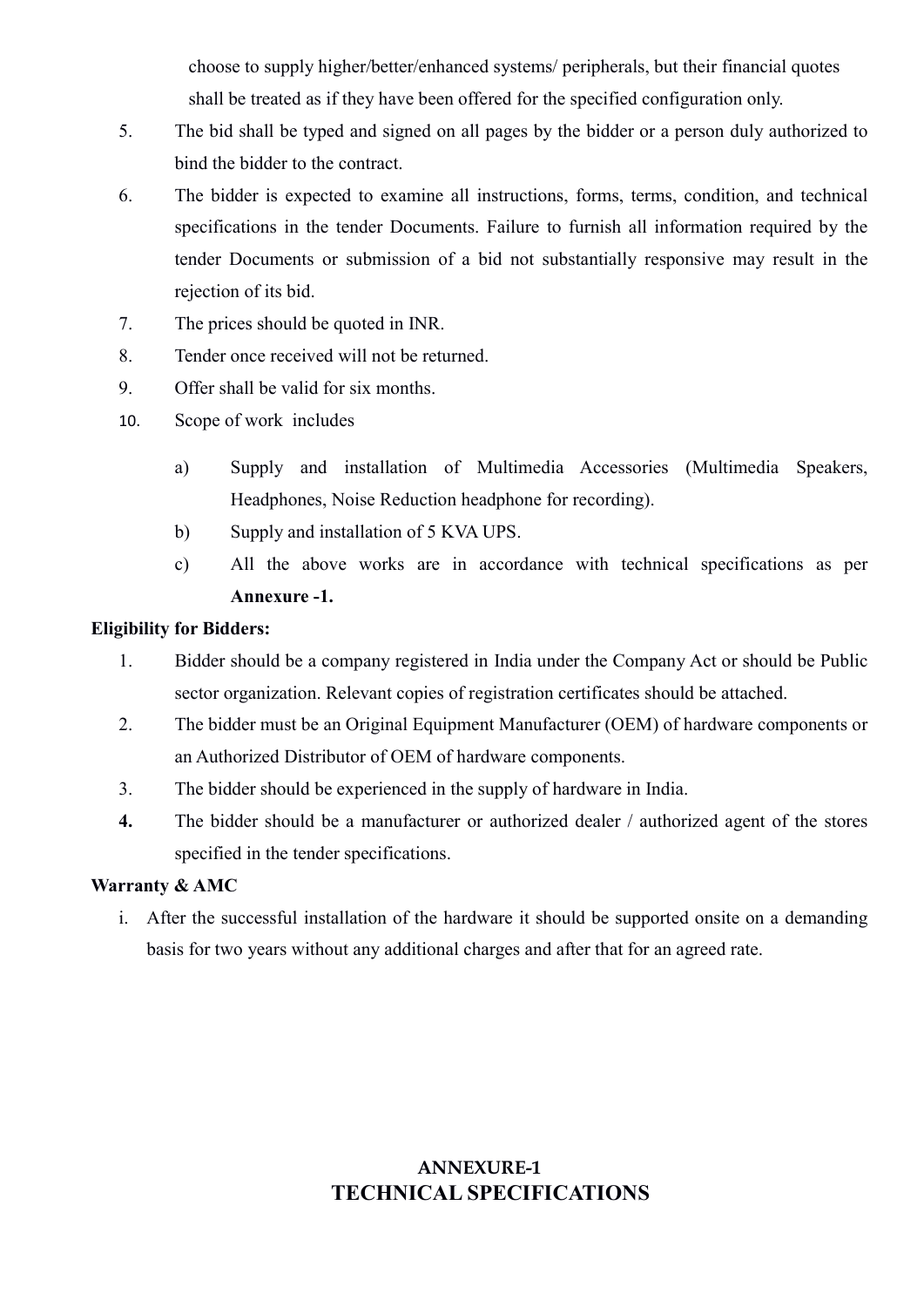choose to supply higher/better/enhanced systems/ peripherals, but their financial quotes shall be treated as if they have been offered for the specified configuration only.

- 5. The bid shall be typed and signed on all pages by the bidder or a person duly authorized to bind the bidder to the contract.
- 6. The bidder is expected to examine all instructions, forms, terms, condition, and technical specifications in the tender Documents. Failure to furnish all information required by the tender Documents or submission of a bid not substantially responsive may result in the rejection of its bid.
- 7. The prices should be quoted in INR.
- 8. Tender once received will not be returned.
- 9. Offer shall be valid for six months.
- 10. Scope of work includes
	- a) Supply and installation of Multimedia Accessories (Multimedia Speakers, Headphones, Noise Reduction headphone for recording).
	- b) Supply and installation of 5 KVA UPS.
	- c) All the above works are in accordance with technical specifications as per Annexure -1.

#### Eligibility for Bidders:

- 1. Bidder should be a company registered in India under the Company Act or should be Public sector organization. Relevant copies of registration certificates should be attached.
- 2. The bidder must be an Original Equipment Manufacturer (OEM) of hardware components or an Authorized Distributor of OEM of hardware components.
- 3. The bidder should be experienced in the supply of hardware in India.
- 4. The bidder should be a manufacturer or authorized dealer / authorized agent of the stores specified in the tender specifications.

#### Warranty & AMC

i. After the successful installation of the hardware it should be supported onsite on a demanding basis for two years without any additional charges and after that for an agreed rate.

# ANNEXURE-1 TECHNICAL SPECIFICATIONS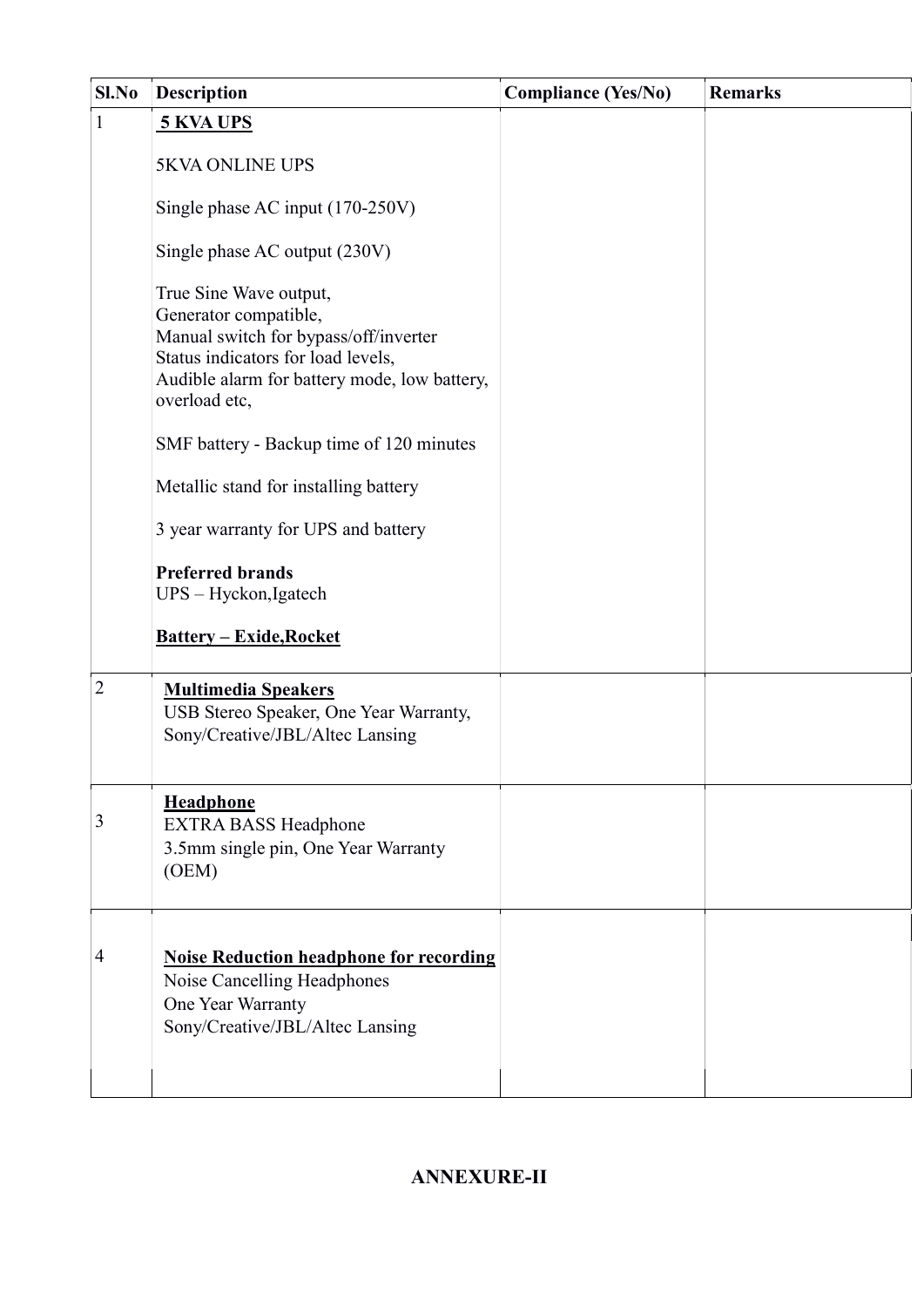| Sl.No          | <b>Description</b>                                                                                                                                                                              | <b>Compliance (Yes/No)</b> | <b>Remarks</b> |
|----------------|-------------------------------------------------------------------------------------------------------------------------------------------------------------------------------------------------|----------------------------|----------------|
| $\mathbf{1}$   | 5 KVA UPS                                                                                                                                                                                       |                            |                |
|                | <b>5KVA ONLINE UPS</b>                                                                                                                                                                          |                            |                |
|                | Single phase AC input (170-250V)                                                                                                                                                                |                            |                |
|                | Single phase AC output (230V)                                                                                                                                                                   |                            |                |
|                | True Sine Wave output,<br>Generator compatible,<br>Manual switch for bypass/off/inverter<br>Status indicators for load levels,<br>Audible alarm for battery mode, low battery,<br>overload etc, |                            |                |
|                | SMF battery - Backup time of 120 minutes                                                                                                                                                        |                            |                |
|                | Metallic stand for installing battery                                                                                                                                                           |                            |                |
|                | 3 year warranty for UPS and battery                                                                                                                                                             |                            |                |
|                | <b>Preferred brands</b><br>UPS - Hyckon, Igatech                                                                                                                                                |                            |                |
|                | <b>Battery - Exide, Rocket</b>                                                                                                                                                                  |                            |                |
| $\overline{2}$ | <b>Multimedia Speakers</b><br>USB Stereo Speaker, One Year Warranty,<br>Sony/Creative/JBL/Altec Lansing                                                                                         |                            |                |
| 3              | <b>Headphone</b><br><b>EXTRA BASS Headphone</b><br>3.5mm single pin, One Year Warranty<br>(OEM)                                                                                                 |                            |                |
| 4              | <b>Noise Reduction headphone for recording</b><br>Noise Cancelling Headphones<br>One Year Warranty<br>Sony/Creative/JBL/Altec Lansing                                                           |                            |                |

# ANNEXURE-II